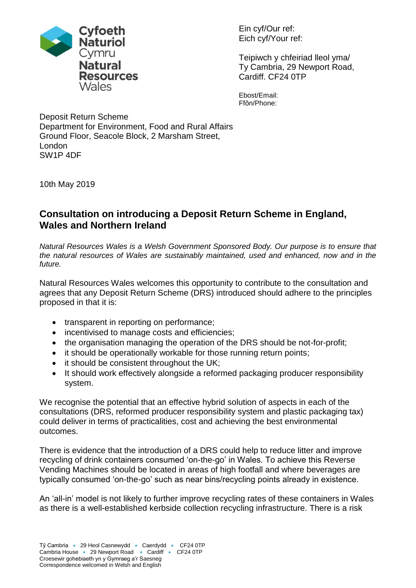

Ein cyf/Our ref: Eich cyf/Your ref:

Teipiwch y chfeiriad lleol yma/ Ty Cambria, 29 Newport Road, Cardiff. CF24 0TP

Ebost/Email: Ffôn/Phone:

Deposit Return Scheme Department for Environment, Food and Rural Affairs Ground Floor, Seacole Block, 2 Marsham Street, London SW1P 4DF

10th May 2019

## **Consultation on introducing a Deposit Return Scheme in England, Wales and Northern Ireland**

*Natural Resources Wales is a Welsh Government Sponsored Body. Our purpose is to ensure that the natural resources of Wales are sustainably maintained, used and enhanced, now and in the future.*

Natural Resources Wales welcomes this opportunity to contribute to the consultation and agrees that any Deposit Return Scheme (DRS) introduced should adhere to the principles proposed in that it is:

- transparent in reporting on performance;
- incentivised to manage costs and efficiencies;
- the organisation managing the operation of the DRS should be not-for-profit;
- it should be operationally workable for those running return points;
- it should be consistent throughout the UK;
- It should work effectively alongside a reformed packaging producer responsibility system.

We recognise the potential that an effective hybrid solution of aspects in each of the consultations (DRS, reformed producer responsibility system and plastic packaging tax) could deliver in terms of practicalities, cost and achieving the best environmental outcomes.

There is evidence that the introduction of a DRS could help to reduce litter and improve recycling of drink containers consumed 'on-the-go' in Wales. To achieve this Reverse Vending Machines should be located in areas of high footfall and where beverages are typically consumed 'on-the-go' such as near bins/recycling points already in existence.

An 'all-in' model is not likely to further improve recycling rates of these containers in Wales as there is a well-established kerbside collection recycling infrastructure. There is a risk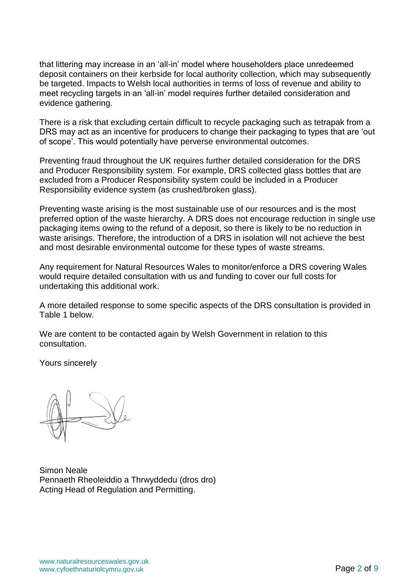that littering may increase in an 'all-in' model where householders place unredeemed deposit containers on their kerbside for local authority collection, which may subsequently be targeted. Impacts to Welsh local authorities in terms of loss of revenue and ability to meet recycling targets in an 'all-in' model requires further detailed consideration and evidence gathering.

There is a risk that excluding certain difficult to recycle packaging such as tetrapak from a DRS may act as an incentive for producers to change their packaging to types that are 'out of scope'. This would potentially have perverse environmental outcomes.

Preventing fraud throughout the UK requires further detailed consideration for the DRS and Producer Responsibility system. For example, DRS collected glass bottles that are excluded from a Producer Responsibility system could be included in a Producer Responsibility evidence system (as crushed/broken glass).

Preventing waste arising is the most sustainable use of our resources and is the most preferred option of the waste hierarchy. A DRS does not encourage reduction in single use packaging items owing to the refund of a deposit, so there is likely to be no reduction in waste arisings. Therefore, the introduction of a DRS in isolation will not achieve the best and most desirable environmental outcome for these types of waste streams.

Any requirement for Natural Resources Wales to monitor/enforce a DRS covering Wales would require detailed consultation with us and funding to cover our full costs for undertaking this additional work.

A more detailed response to some specific aspects of the DRS consultation is provided in Table 1 below.

We are content to be contacted again by Welsh Government in relation to this consultation.

Yours sincerely

Simon Neale Pennaeth Rheoleiddio a Thrwyddedu (dros dro) Acting Head of Regulation and Permitting.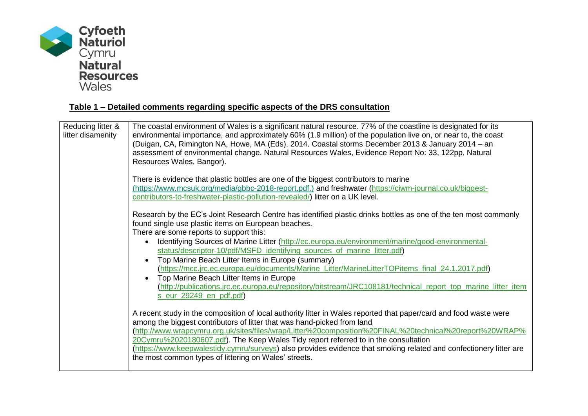

| Reducing litter &<br>litter disamenity | The coastal environment of Wales is a significant natural resource. 77% of the coastline is designated for its<br>environmental importance, and approximately 60% (1.9 million) of the population live on, or near to, the coast<br>(Duigan, CA, Rimington NA, Howe, MA (Eds). 2014. Coastal storms December 2013 & January 2014 - an<br>assessment of environmental change. Natural Resources Wales, Evidence Report No: 33, 122pp, Natural<br>Resources Wales, Bangor).                                                                                                                                                                                                                                                                       |
|----------------------------------------|-------------------------------------------------------------------------------------------------------------------------------------------------------------------------------------------------------------------------------------------------------------------------------------------------------------------------------------------------------------------------------------------------------------------------------------------------------------------------------------------------------------------------------------------------------------------------------------------------------------------------------------------------------------------------------------------------------------------------------------------------|
|                                        | There is evidence that plastic bottles are one of the biggest contributors to marine<br>(https://www.mcsuk.org/media/gbbc-2018-report.pdf.) and freshwater (https://ciwm-journal.co.uk/biggest-<br>contributors-to-freshwater-plastic-pollution-revealed/) litter on a UK level.                                                                                                                                                                                                                                                                                                                                                                                                                                                                |
|                                        | Research by the EC's Joint Research Centre has identified plastic drinks bottles as one of the ten most commonly<br>found single use plastic items on European beaches.<br>There are some reports to support this:<br>Identifying Sources of Marine Litter (http://ec.europa.eu/environment/marine/good-environmental-<br>status/descriptor-10/pdf/MSFD identifying sources of marine litter.pdf)<br>Top Marine Beach Litter Items in Europe (summary)<br>(https://mcc.jrc.ec.europa.eu/documents/Marine_Litter/MarineLitterTOPitems_final_24.1.2017.pdf)<br>Top Marine Beach Litter Items in Europe<br>(http://publications.jrc.ec.europa.eu/repository/bitstream/JRC108181/technical_report_top_marine_litter_item<br>s_eur_29249_en_pdf.pdf) |
|                                        | A recent study in the composition of local authority litter in Wales reported that paper/card and food waste were<br>among the biggest contributors of litter that was hand-picked from land<br>(http://www.wrapcymru.org.uk/sites/files/wrap/Litter%20composition%20FINAL%20technical%20report%20WRAP%<br>20Cymru%2020180607.pdf). The Keep Wales Tidy report referred to in the consultation<br>(https://www.keepwalestidy.cymru/surveys) also provides evidence that smoking related and confectionery litter are<br>the most common types of littering on Wales' streets.                                                                                                                                                                   |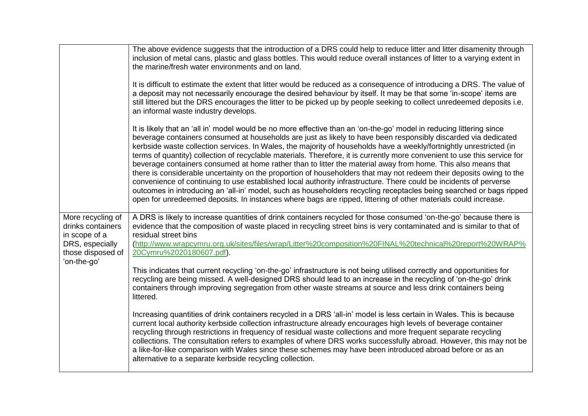|                                                                                                                | The above evidence suggests that the introduction of a DRS could help to reduce litter and litter disamenity through<br>inclusion of metal cans, plastic and glass bottles. This would reduce overall instances of litter to a varying extent in<br>the marine/fresh water environments and on land.                                                                                                                                                                                                                                                                                                                                                                                                                                                                                                                                                                                                                                                                                                                                                                                            |
|----------------------------------------------------------------------------------------------------------------|-------------------------------------------------------------------------------------------------------------------------------------------------------------------------------------------------------------------------------------------------------------------------------------------------------------------------------------------------------------------------------------------------------------------------------------------------------------------------------------------------------------------------------------------------------------------------------------------------------------------------------------------------------------------------------------------------------------------------------------------------------------------------------------------------------------------------------------------------------------------------------------------------------------------------------------------------------------------------------------------------------------------------------------------------------------------------------------------------|
|                                                                                                                | It is difficult to estimate the extent that litter would be reduced as a consequence of introducing a DRS. The value of<br>a deposit may not necessarily encourage the desired behaviour by itself. It may be that some 'in-scope' items are<br>still littered but the DRS encourages the litter to be picked up by people seeking to collect unredeemed deposits i.e.<br>an informal waste industry develops.                                                                                                                                                                                                                                                                                                                                                                                                                                                                                                                                                                                                                                                                                  |
|                                                                                                                | It is likely that an 'all in' model would be no more effective than an 'on-the-go' model in reducing littering since<br>beverage containers consumed at households are just as likely to have been responsibly discarded via dedicated<br>kerbside waste collection services. In Wales, the majority of households have a weekly/fortnightly unrestricted (in<br>terms of quantity) collection of recyclable materials. Therefore, it is currently more convenient to use this service for<br>beverage containers consumed at home rather than to litter the material away from home. This also means that<br>there is considerable uncertainty on the proportion of householders that may not redeem their deposits owing to the<br>convenience of continuing to use established local authority infrastructure. There could be incidents of perverse<br>outcomes in introducing an 'all-in' model, such as householders recycling receptacles being searched or bags ripped<br>open for unredeemed deposits. In instances where bags are ripped, littering of other materials could increase. |
| More recycling of<br>drinks containers<br>in scope of a<br>DRS, especially<br>those disposed of<br>'on-the-go' | A DRS is likely to increase quantities of drink containers recycled for those consumed 'on-the-go' because there is<br>evidence that the composition of waste placed in recycling street bins is very contaminated and is similar to that of<br>residual street bins<br>(http://www.wrapcymru.org.uk/sites/files/wrap/Litter%20composition%20FINAL%20technical%20report%20WRAP%<br>20Cymru%2020180607.pdf).                                                                                                                                                                                                                                                                                                                                                                                                                                                                                                                                                                                                                                                                                     |
|                                                                                                                | This indicates that current recycling 'on-the-go' infrastructure is not being utilised correctly and opportunities for<br>recycling are being missed. A well-designed DRS should lead to an increase in the recycling of 'on-the-go' drink<br>containers through improving segregation from other waste streams at source and less drink containers being<br>littered.                                                                                                                                                                                                                                                                                                                                                                                                                                                                                                                                                                                                                                                                                                                          |
|                                                                                                                | Increasing quantities of drink containers recycled in a DRS 'all-in' model is less certain in Wales. This is because<br>current local authority kerbside collection infrastructure already encourages high levels of beverage container<br>recycling through restrictions in frequency of residual waste collections and more frequent separate recycling<br>collections. The consultation refers to examples of where DRS works successfully abroad. However, this may not be<br>a like-for-like comparison with Wales since these schemes may have been introduced abroad before or as an<br>alternative to a separate kerbside recycling collection.                                                                                                                                                                                                                                                                                                                                                                                                                                         |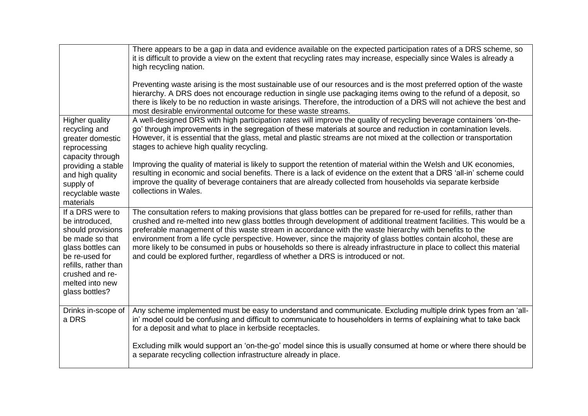|                                                                                                                                                                                                   | There appears to be a gap in data and evidence available on the expected participation rates of a DRS scheme, so<br>it is difficult to provide a view on the extent that recycling rates may increase, especially since Wales is already a<br>high recycling nation.                                                                                                                                                                                                                                                                                                                                                                                                                      |
|---------------------------------------------------------------------------------------------------------------------------------------------------------------------------------------------------|-------------------------------------------------------------------------------------------------------------------------------------------------------------------------------------------------------------------------------------------------------------------------------------------------------------------------------------------------------------------------------------------------------------------------------------------------------------------------------------------------------------------------------------------------------------------------------------------------------------------------------------------------------------------------------------------|
|                                                                                                                                                                                                   | Preventing waste arising is the most sustainable use of our resources and is the most preferred option of the waste<br>hierarchy. A DRS does not encourage reduction in single use packaging items owing to the refund of a deposit, so<br>there is likely to be no reduction in waste arisings. Therefore, the introduction of a DRS will not achieve the best and<br>most desirable environmental outcome for these waste streams.                                                                                                                                                                                                                                                      |
| <b>Higher quality</b><br>recycling and<br>greater domestic<br>reprocessing<br>capacity through                                                                                                    | A well-designed DRS with high participation rates will improve the quality of recycling beverage containers 'on-the-<br>go' through improvements in the segregation of these materials at source and reduction in contamination levels.<br>However, it is essential that the glass, metal and plastic streams are not mixed at the collection or transportation<br>stages to achieve high quality recycling.                                                                                                                                                                                                                                                                              |
| providing a stable<br>and high quality<br>supply of<br>recyclable waste<br>materials                                                                                                              | Improving the quality of material is likely to support the retention of material within the Welsh and UK economies,<br>resulting in economic and social benefits. There is a lack of evidence on the extent that a DRS 'all-in' scheme could<br>improve the quality of beverage containers that are already collected from households via separate kerbside<br>collections in Wales.                                                                                                                                                                                                                                                                                                      |
| If a DRS were to<br>be introduced,<br>should provisions<br>be made so that<br>glass bottles can<br>be re-used for<br>refills, rather than<br>crushed and re-<br>melted into new<br>glass bottles? | The consultation refers to making provisions that glass bottles can be prepared for re-used for refills, rather than<br>crushed and re-melted into new glass bottles through development of additional treatment facilities. This would be a<br>preferable management of this waste stream in accordance with the waste hierarchy with benefits to the<br>environment from a life cycle perspective. However, since the majority of glass bottles contain alcohol, these are<br>more likely to be consumed in pubs or households so there is already infrastructure in place to collect this material<br>and could be explored further, regardless of whether a DRS is introduced or not. |
| Drinks in-scope of<br>a DRS                                                                                                                                                                       | Any scheme implemented must be easy to understand and communicate. Excluding multiple drink types from an 'all-<br>in' model could be confusing and difficult to communicate to householders in terms of explaining what to take back<br>for a deposit and what to place in kerbside receptacles.                                                                                                                                                                                                                                                                                                                                                                                         |
|                                                                                                                                                                                                   | Excluding milk would support an 'on-the-go' model since this is usually consumed at home or where there should be<br>a separate recycling collection infrastructure already in place.                                                                                                                                                                                                                                                                                                                                                                                                                                                                                                     |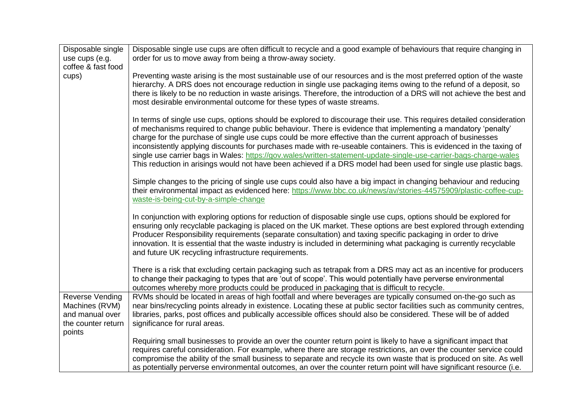| Disposable single<br>use cups (e.g.                                                         | Disposable single use cups are often difficult to recycle and a good example of behaviours that require changing in<br>order for us to move away from being a throw-away society.                                                                                                                                                                                                                                                                                                                                                                                                                                                                                                                                    |
|---------------------------------------------------------------------------------------------|----------------------------------------------------------------------------------------------------------------------------------------------------------------------------------------------------------------------------------------------------------------------------------------------------------------------------------------------------------------------------------------------------------------------------------------------------------------------------------------------------------------------------------------------------------------------------------------------------------------------------------------------------------------------------------------------------------------------|
| coffee & fast food                                                                          |                                                                                                                                                                                                                                                                                                                                                                                                                                                                                                                                                                                                                                                                                                                      |
| cups)                                                                                       | Preventing waste arising is the most sustainable use of our resources and is the most preferred option of the waste<br>hierarchy. A DRS does not encourage reduction in single use packaging items owing to the refund of a deposit, so<br>there is likely to be no reduction in waste arisings. Therefore, the introduction of a DRS will not achieve the best and<br>most desirable environmental outcome for these types of waste streams.                                                                                                                                                                                                                                                                        |
|                                                                                             | In terms of single use cups, options should be explored to discourage their use. This requires detailed consideration<br>of mechanisms required to change public behaviour. There is evidence that implementing a mandatory 'penalty'<br>charge for the purchase of single use cups could be more effective than the current approach of businesses<br>inconsistently applying discounts for purchases made with re-useable containers. This is evidenced in the taxing of<br>single use carrier bags in Wales: https://gov.wales/written-statement-update-single-use-carrier-bags-charge-wales<br>This reduction in arisings would not have been achieved if a DRS model had been used for single use plastic bags. |
|                                                                                             | Simple changes to the pricing of single use cups could also have a big impact in changing behaviour and reducing<br>their environmental impact as evidenced here: https://www.bbc.co.uk/news/av/stories-44575909/plastic-coffee-cup-<br>waste-is-being-cut-by-a-simple-change                                                                                                                                                                                                                                                                                                                                                                                                                                        |
|                                                                                             | In conjunction with exploring options for reduction of disposable single use cups, options should be explored for<br>ensuring only recyclable packaging is placed on the UK market. These options are best explored through extending<br>Producer Responsibility requirements (separate consultation) and taxing specific packaging in order to drive<br>innovation. It is essential that the waste industry is included in determining what packaging is currently recyclable<br>and future UK recycling infrastructure requirements.                                                                                                                                                                               |
|                                                                                             | There is a risk that excluding certain packaging such as tetrapak from a DRS may act as an incentive for producers<br>to change their packaging to types that are 'out of scope'. This would potentially have perverse environmental<br>outcomes whereby more products could be produced in packaging that is difficult to recycle.                                                                                                                                                                                                                                                                                                                                                                                  |
| <b>Reverse Vending</b><br>Machines (RVM)<br>and manual over<br>the counter return<br>points | RVMs should be located in areas of high footfall and where beverages are typically consumed on-the-go such as<br>near bins/recycling points already in existence. Locating these at public sector facilities such as community centres,<br>libraries, parks, post offices and publically accessible offices should also be considered. These will be of added<br>significance for rural areas.                                                                                                                                                                                                                                                                                                                       |
|                                                                                             | Requiring small businesses to provide an over the counter return point is likely to have a significant impact that<br>requires careful consideration. For example, where there are storage restrictions, an over the counter service could<br>compromise the ability of the small business to separate and recycle its own waste that is produced on site. As well<br>as potentially perverse environmental outcomes, an over the counter return point will have significant resource (i.e.                                                                                                                                                                                                                          |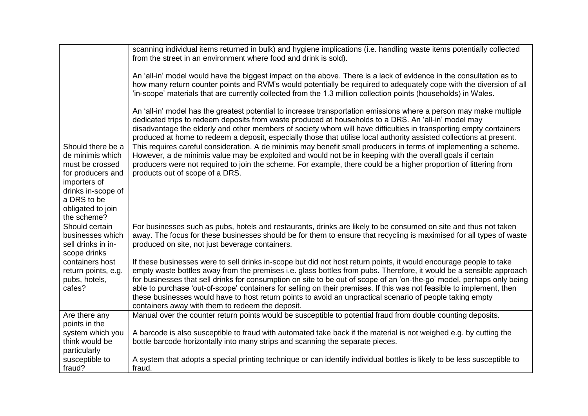| An 'all-in' model would have the biggest impact on the above. There is a lack of evidence in the consultation as to<br>how many return counter points and RVM's would potentially be required to adequately cope with the diversion of all<br>'in-scope' materials that are currently collected from the 1.3 million collection points (households) in Wales.<br>An 'all-in' model has the greatest potential to increase transportation emissions where a person may make multiple<br>dedicated trips to redeem deposits from waste produced at households to a DRS. An 'all-in' model may<br>disadvantage the elderly and other members of society whom will have difficulties in transporting empty containers<br>produced at home to redeem a deposit, especially those that utilise local authority assisted collections at present.<br>Should there be a<br>This requires careful consideration. A de minimis may benefit small producers in terms of implementing a scheme. |  |
|------------------------------------------------------------------------------------------------------------------------------------------------------------------------------------------------------------------------------------------------------------------------------------------------------------------------------------------------------------------------------------------------------------------------------------------------------------------------------------------------------------------------------------------------------------------------------------------------------------------------------------------------------------------------------------------------------------------------------------------------------------------------------------------------------------------------------------------------------------------------------------------------------------------------------------------------------------------------------------|--|
|                                                                                                                                                                                                                                                                                                                                                                                                                                                                                                                                                                                                                                                                                                                                                                                                                                                                                                                                                                                    |  |
|                                                                                                                                                                                                                                                                                                                                                                                                                                                                                                                                                                                                                                                                                                                                                                                                                                                                                                                                                                                    |  |
| However, a de minimis value may be exploited and would not be in keeping with the overall goals if certain<br>de minimis which<br>producers were not required to join the scheme. For example, there could be a higher proportion of littering from<br>must be crossed<br>products out of scope of a DRS.<br>for producers and<br>importers of<br>drinks in-scope of<br>a DRS to be<br>obligated to join<br>the scheme?                                                                                                                                                                                                                                                                                                                                                                                                                                                                                                                                                            |  |
| Should certain<br>For businesses such as pubs, hotels and restaurants, drinks are likely to be consumed on site and thus not taken<br>away. The focus for these businesses should be for them to ensure that recycling is maximised for all types of waste<br>businesses which<br>sell drinks in in-<br>produced on site, not just beverage containers.<br>scope drinks                                                                                                                                                                                                                                                                                                                                                                                                                                                                                                                                                                                                            |  |
| If these businesses were to sell drinks in-scope but did not host return points, it would encourage people to take<br>containers host<br>empty waste bottles away from the premises i.e. glass bottles from pubs. Therefore, it would be a sensible approach<br>return points, e.g.<br>for businesses that sell drinks for consumption on site to be out of scope of an 'on-the-go' model, perhaps only being<br>pubs, hotels,<br>able to purchase 'out-of-scope' containers for selling on their premises. If this was not feasible to implement, then<br>cafes?<br>these businesses would have to host return points to avoid an unpractical scenario of people taking empty<br>containers away with them to redeem the deposit.                                                                                                                                                                                                                                                 |  |
| Manual over the counter return points would be susceptible to potential fraud from double counting deposits.<br>Are there any<br>points in the<br>A barcode is also susceptible to fraud with automated take back if the material is not weighed e.g. by cutting the<br>system which you                                                                                                                                                                                                                                                                                                                                                                                                                                                                                                                                                                                                                                                                                           |  |
| bottle barcode horizontally into many strips and scanning the separate pieces.<br>think would be<br>particularly<br>susceptible to<br>A system that adopts a special printing technique or can identify individual bottles is likely to be less susceptible to<br>fraud?<br>fraud.                                                                                                                                                                                                                                                                                                                                                                                                                                                                                                                                                                                                                                                                                                 |  |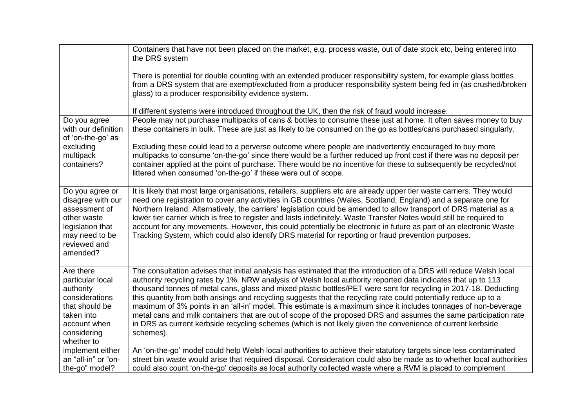|                                                                                                                                           | Containers that have not been placed on the market, e.g. process waste, out of date stock etc, being entered into<br>the DRS system                                                                                                                                                                                                                                                                                                                                                                                                                                                                                                                                                                                                                                                                                                              |
|-------------------------------------------------------------------------------------------------------------------------------------------|--------------------------------------------------------------------------------------------------------------------------------------------------------------------------------------------------------------------------------------------------------------------------------------------------------------------------------------------------------------------------------------------------------------------------------------------------------------------------------------------------------------------------------------------------------------------------------------------------------------------------------------------------------------------------------------------------------------------------------------------------------------------------------------------------------------------------------------------------|
|                                                                                                                                           | There is potential for double counting with an extended producer responsibility system, for example glass bottles<br>from a DRS system that are exempt/excluded from a producer responsibility system being fed in (as crushed/broken<br>glass) to a producer responsibility evidence system.                                                                                                                                                                                                                                                                                                                                                                                                                                                                                                                                                    |
|                                                                                                                                           | If different systems were introduced throughout the UK, then the risk of fraud would increase.                                                                                                                                                                                                                                                                                                                                                                                                                                                                                                                                                                                                                                                                                                                                                   |
| Do you agree<br>with our definition<br>of 'on-the-go' as                                                                                  | People may not purchase multipacks of cans & bottles to consume these just at home. It often saves money to buy<br>these containers in bulk. These are just as likely to be consumed on the go as bottles/cans purchased singularly.                                                                                                                                                                                                                                                                                                                                                                                                                                                                                                                                                                                                             |
| excluding<br>multipack<br>containers?                                                                                                     | Excluding these could lead to a perverse outcome where people are inadvertently encouraged to buy more<br>multipacks to consume 'on-the-go' since there would be a further reduced up front cost if there was no deposit per<br>container applied at the point of purchase. There would be no incentive for these to subsequently be recycled/not<br>littered when consumed 'on-the-go' if these were out of scope.                                                                                                                                                                                                                                                                                                                                                                                                                              |
| Do you agree or<br>disagree with our<br>assessment of<br>other waste<br>legislation that<br>may need to be<br>reviewed and<br>amended?    | It is likely that most large organisations, retailers, suppliers etc are already upper tier waste carriers. They would<br>need one registration to cover any activities in GB countries (Wales, Scotland, England) and a separate one for<br>Northern Ireland. Alternatively, the carriers' legislation could be amended to allow transport of DRS material as a<br>lower tier carrier which is free to register and lasts indefinitely. Waste Transfer Notes would still be required to<br>account for any movements. However, this could potentially be electronic in future as part of an electronic Waste<br>Tracking System, which could also identify DRS material for reporting or fraud prevention purposes.                                                                                                                             |
| Are there<br>particular local<br>authority<br>considerations<br>that should be<br>taken into<br>account when<br>considering<br>whether to | The consultation advises that initial analysis has estimated that the introduction of a DRS will reduce Welsh local<br>authority recycling rates by 1%. NRW analysis of Welsh local authority reported data indicates that up to 113<br>thousand tonnes of metal cans, glass and mixed plastic bottles/PET were sent for recycling in 2017-18. Deducting<br>this quantity from both arisings and recycling suggests that the recycling rate could potentially reduce up to a<br>maximum of 3% points in an 'all-in' model. This estimate is a maximum since it includes tonnages of non-beverage<br>metal cans and milk containers that are out of scope of the proposed DRS and assumes the same participation rate<br>in DRS as current kerbside recycling schemes (which is not likely given the convenience of current kerbside<br>schemes). |
| implement either<br>an "all-in" or "on-<br>the-go" model?                                                                                 | An 'on-the-go' model could help Welsh local authorities to achieve their statutory targets since less contaminated<br>street bin waste would arise that required disposal. Consideration could also be made as to whether local authorities<br>could also count 'on-the-go' deposits as local authority collected waste where a RVM is placed to complement                                                                                                                                                                                                                                                                                                                                                                                                                                                                                      |